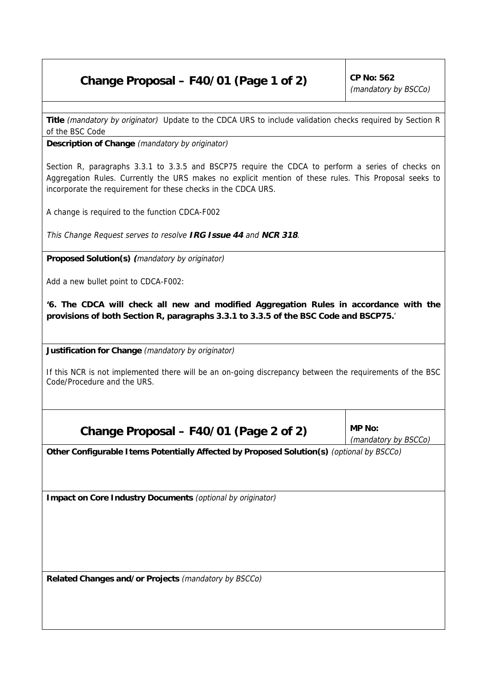## **Change Proposal – F40/01 (Page 1 of 2)** CP No:  $562$

(mandatory by BSCCo)

**Title** (mandatory by originator) Update to the CDCA URS to include validation checks required by Section R of the BSC Code

**Description of Change** (mandatory by originator)

Section R, paragraphs 3.3.1 to 3.3.5 and BSCP75 require the CDCA to perform a series of checks on Aggregation Rules. Currently the URS makes no explicit mention of these rules. This Proposal seeks to incorporate the requirement for these checks in the CDCA URS.

A change is required to the function CDCA-F002

This Change Request serves to resolve **IRG Issue 44** and **NCR 318**.

**Proposed Solution(s) (**mandatory by originator)

Add a new bullet point to CDCA-F002:

**'6. The CDCA will check all new and modified Aggregation Rules in accordance with the provisions of both Section R, paragraphs 3.3.1 to 3.3.5 of the BSC Code and BSCP75.**'

**Justification for Change** (mandatory by originator)

If this NCR is not implemented there will be an on-going discrepancy between the requirements of the BSC Code/Procedure and the URS.

Change Proposal  $-$  F40/01 (Page 2 of 2) MP No:

(mandatory by BSCCo)

**Other Configurable Items Potentially Affected by Proposed Solution(s)** (optional by BSCCo)

**Impact on Core Industry Documents** (optional by originator)

**Related Changes and/or Projects** (mandatory by BSCCo)